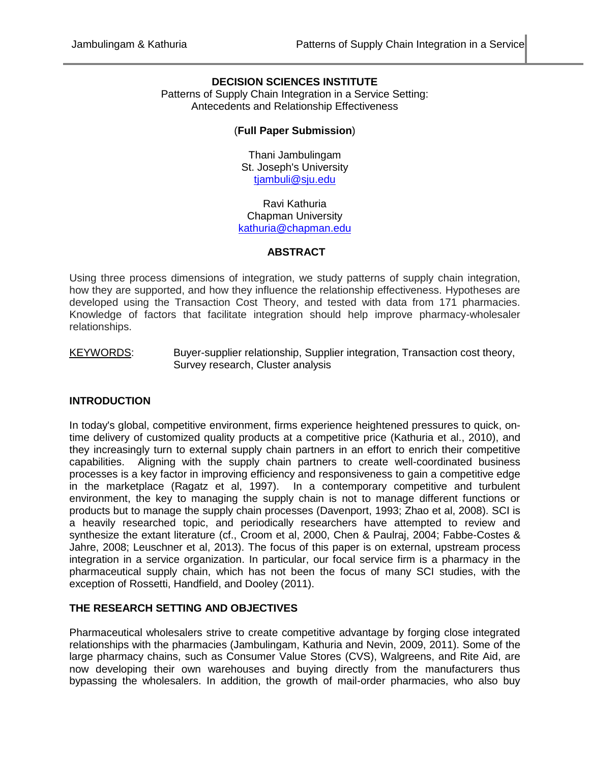## **DECISION SCIENCES INSTITUTE**

Patterns of Supply Chain Integration in a Service Setting: Antecedents and Relationship Effectiveness

## (**Full Paper Submission**)

Thani Jambulingam St. Joseph's University [tjambuli@sju.edu](mailto:tjambuli@sju.edu)

Ravi Kathuria Chapman University [kathuria@chapman.edu](mailto:kathuria@chapman.edu)

#### **ABSTRACT**

Using three process dimensions of integration, we study patterns of supply chain integration, how they are supported, and how they influence the relationship effectiveness. Hypotheses are developed using the Transaction Cost Theory, and tested with data from 171 pharmacies. Knowledge of factors that facilitate integration should help improve pharmacy-wholesaler relationships.

KEYWORDS: Buyer-supplier relationship, Supplier integration, Transaction cost theory, Survey research, Cluster analysis

## **INTRODUCTION**

In today's global, competitive environment, firms experience heightened pressures to quick, ontime delivery of customized quality products at a competitive price (Kathuria et al., 2010), and they increasingly turn to external supply chain partners in an effort to enrich their competitive capabilities. Aligning with the supply chain partners to create well-coordinated business processes is a key factor in improving efficiency and responsiveness to gain a competitive edge in the marketplace [\(Ragatz et al, 1997\).](http://www.sciencedirect.com/science/article/pii/S0272696300000553#BIB67) In a contemporary competitive and turbulent environment, the key to managing the supply chain is not to manage different functions or products but to manage the supply chain processes (Davenport, 1993; Zhao et al, 2008). SCI is a heavily researched topic, and periodically researchers have attempted to review and synthesize the extant literature (cf., Croom et al, 2000, Chen & Paulraj, 2004; Fabbe-Costes & Jahre, 2008; Leuschner et al, 2013). The focus of this paper is on external, upstream process integration in a service organization. In particular, our focal service firm is a pharmacy in the pharmaceutical supply chain, which has not been the focus of many SCI studies, with the exception of Rossetti, Handfield, and Dooley (2011).

## **THE RESEARCH SETTING AND OBJECTIVES**

Pharmaceutical wholesalers strive to create competitive advantage by forging close integrated relationships with the pharmacies (Jambulingam, Kathuria and Nevin, 2009, 2011). Some of the large pharmacy chains, such as Consumer Value Stores (CVS), Walgreens, and Rite Aid, are now developing their own warehouses and buying directly from the manufacturers thus bypassing the wholesalers. In addition, the growth of mail-order pharmacies, who also buy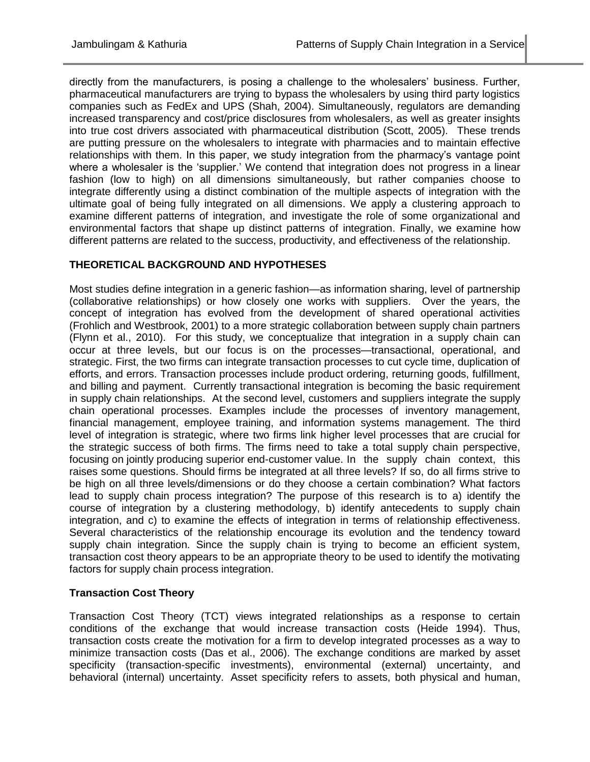directly from the manufacturers, is posing a challenge to the wholesalers' business. Further, pharmaceutical manufacturers are trying to bypass the wholesalers by using third party logistics companies such as FedEx and UPS (Shah, 2004). Simultaneously, regulators are demanding increased transparency and cost/price disclosures from wholesalers, as well as greater insights into true cost drivers associated with pharmaceutical distribution (Scott, 2005). These trends are putting pressure on the wholesalers to integrate with pharmacies and to maintain effective relationships with them. In this paper, we study integration from the pharmacy's vantage point where a wholesaler is the 'supplier.' We contend that integration does not progress in a linear fashion (low to high) on all dimensions simultaneously, but rather companies choose to integrate differently using a distinct combination of the multiple aspects of integration with the ultimate goal of being fully integrated on all dimensions. We apply a clustering approach to examine different patterns of integration, and investigate the role of some organizational and environmental factors that shape up distinct patterns of integration. Finally, we examine how different patterns are related to the success, productivity, and effectiveness of the relationship.

# **THEORETICAL BACKGROUND AND HYPOTHESES**

Most studies define integration in a generic fashion—as information sharing, level of partnership (collaborative relationships) or how closely one works with suppliers. Over the years, the concept of integration has evolved from the development of shared operational activities (Frohlich and Westbrook, 2001) to a more strategic collaboration between supply chain partners (Flynn et al., 2010). For this study, we conceptualize that integration in a supply chain can occur at three levels, but our focus is on the processes—transactional, operational, and strategic. First, the two firms can integrate transaction processes to cut cycle time, duplication of efforts, and errors. Transaction processes include product ordering, returning goods, fulfillment, and billing and payment. Currently transactional integration is becoming the basic requirement in supply chain relationships. At the second level, customers and suppliers integrate the supply chain operational processes. Examples include the processes of inventory management, financial management, employee training, and information systems management. The third level of integration is strategic, where two firms link higher level processes that are crucial for the strategic success of both firms. The firms need to take a total supply chain perspective, focusing on jointly producing superior end-customer value. In the supply chain context, this raises some questions. Should firms be integrated at all three levels? If so, do all firms strive to be high on all three levels/dimensions or do they choose a certain combination? What factors lead to supply chain process integration? The purpose of this research is to a) identify the course of integration by a clustering methodology, b) identify antecedents to supply chain integration, and c) to examine the effects of integration in terms of relationship effectiveness. Several characteristics of the relationship encourage its evolution and the tendency toward supply chain integration. Since the supply chain is trying to become an efficient system, transaction cost theory appears to be an appropriate theory to be used to identify the motivating factors for supply chain process integration.

# **Transaction Cost Theory**

Transaction Cost Theory (TCT) views integrated relationships as a response to certain conditions of the exchange that would increase transaction costs (Heide 1994). Thus, transaction costs create the motivation for a firm to develop integrated processes as a way to minimize transaction costs (Das et al., 2006). The exchange conditions are marked by asset specificity (transaction-specific investments), environmental (external) uncertainty, and behavioral (internal) uncertainty. Asset specificity refers to assets, both physical and human,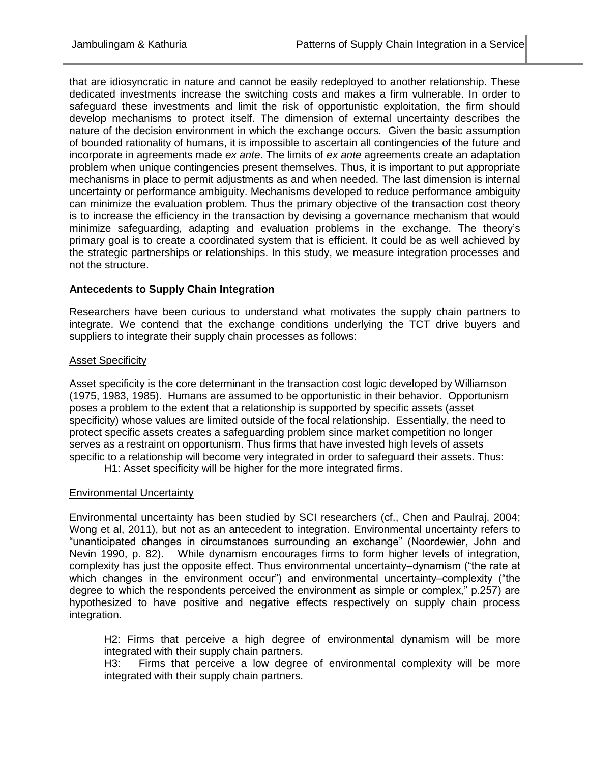that are idiosyncratic in nature and cannot be easily redeployed to another relationship. These dedicated investments increase the switching costs and makes a firm vulnerable. In order to safeguard these investments and limit the risk of opportunistic exploitation, the firm should develop mechanisms to protect itself. The dimension of external uncertainty describes the nature of the decision environment in which the exchange occurs. Given the basic assumption of bounded rationality of humans, it is impossible to ascertain all contingencies of the future and incorporate in agreements made *ex ante*. The limits of *ex ante* agreements create an adaptation problem when unique contingencies present themselves. Thus, it is important to put appropriate mechanisms in place to permit adjustments as and when needed. The last dimension is internal uncertainty or performance ambiguity. Mechanisms developed to reduce performance ambiguity can minimize the evaluation problem. Thus the primary objective of the transaction cost theory is to increase the efficiency in the transaction by devising a governance mechanism that would minimize safeguarding, adapting and evaluation problems in the exchange. The theory's primary goal is to create a coordinated system that is efficient. It could be as well achieved by the strategic partnerships or relationships. In this study, we measure integration processes and not the structure.

# **Antecedents to Supply Chain Integration**

Researchers have been curious to understand what motivates the supply chain partners to integrate. We contend that the exchange conditions underlying the TCT drive buyers and suppliers to integrate their supply chain processes as follows:

## Asset Specificity

Asset specificity is the core determinant in the transaction cost logic developed by Williamson (1975, 1983, 1985). Humans are assumed to be opportunistic in their behavior. Opportunism poses a problem to the extent that a relationship is supported by specific assets (asset specificity) whose values are limited outside of the focal relationship. Essentially, the need to protect specific assets creates a safeguarding problem since market competition no longer serves as a restraint on opportunism. Thus firms that have invested high levels of assets specific to a relationship will become very integrated in order to safeguard their assets. Thus:

H1: Asset specificity will be higher for the more integrated firms.

## Environmental Uncertainty

Environmental uncertainty has been studied by SCI researchers (cf., Chen and Paulraj, 2004; Wong et al, 2011), but not as an antecedent to integration. Environmental uncertainty refers to "unanticipated changes in circumstances surrounding an exchange" (Noordewier, John and Nevin 1990, p. 82). While dynamism encourages firms to form higher levels of integration, complexity has just the opposite effect. Thus environmental uncertainty–dynamism ("the rate at which changes in the environment occur") and environmental uncertainty–complexity ("the degree to which the respondents perceived the environment as simple or complex," p.257) are hypothesized to have positive and negative effects respectively on supply chain process integration.

H2: Firms that perceive a high degree of environmental dynamism will be more integrated with their supply chain partners.

H3: Firms that perceive a low degree of environmental complexity will be more integrated with their supply chain partners.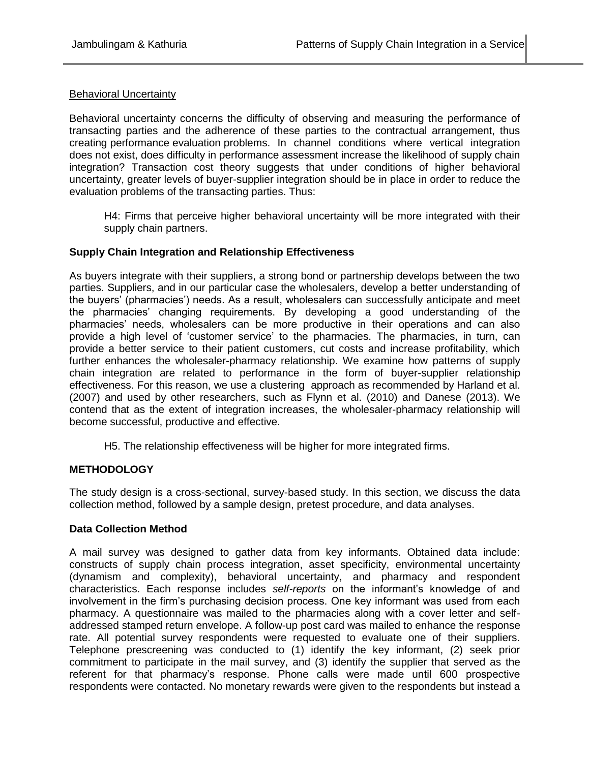## Behavioral Uncertainty

Behavioral uncertainty concerns the difficulty of observing and measuring the performance of transacting parties and the adherence of these parties to the contractual arrangement, thus creating performance evaluation problems. In channel conditions where vertical integration does not exist, does difficulty in performance assessment increase the likelihood of supply chain integration? Transaction cost theory suggests that under conditions of higher behavioral uncertainty, greater levels of buyer-supplier integration should be in place in order to reduce the evaluation problems of the transacting parties. Thus:

H4: Firms that perceive higher behavioral uncertainty will be more integrated with their supply chain partners.

## **Supply Chain Integration and Relationship Effectiveness**

As buyers integrate with their suppliers, a strong bond or partnership develops between the two parties. Suppliers, and in our particular case the wholesalers, develop a better understanding of the buyers' (pharmacies') needs. As a result, wholesalers can successfully anticipate and meet the pharmacies' changing requirements. By developing a good understanding of the pharmacies' needs, wholesalers can be more productive in their operations and can also provide a high level of 'customer service' to the pharmacies. The pharmacies, in turn, can provide a better service to their patient customers, cut costs and increase profitability, which further enhances the wholesaler-pharmacy relationship. We examine how patterns of supply chain integration are related to performance in the form of buyer-supplier relationship effectiveness. For this reason, we use a clustering approach as recommended by Harland et al. (2007) and used by other researchers, such as Flynn et al. (2010) and Danese (2013). We contend that as the extent of integration increases, the wholesaler-pharmacy relationship will become successful, productive and effective.

H5. The relationship effectiveness will be higher for more integrated firms.

## **METHODOLOGY**

The study design is a cross-sectional, survey-based study. In this section, we discuss the data collection method, followed by a sample design, pretest procedure, and data analyses.

## **Data Collection Method**

A mail survey was designed to gather data from key informants. Obtained data include: constructs of supply chain process integration, asset specificity, environmental uncertainty (dynamism and complexity), behavioral uncertainty, and pharmacy and respondent characteristics. Each response includes *self-reports* on the informant's knowledge of and involvement in the firm's purchasing decision process. One key informant was used from each pharmacy. A questionnaire was mailed to the pharmacies along with a cover letter and selfaddressed stamped return envelope. A follow-up post card was mailed to enhance the response rate. All potential survey respondents were requested to evaluate one of their suppliers. Telephone prescreening was conducted to (1) identify the key informant, (2) seek prior commitment to participate in the mail survey, and (3) identify the supplier that served as the referent for that pharmacy's response. Phone calls were made until 600 prospective respondents were contacted. No monetary rewards were given to the respondents but instead a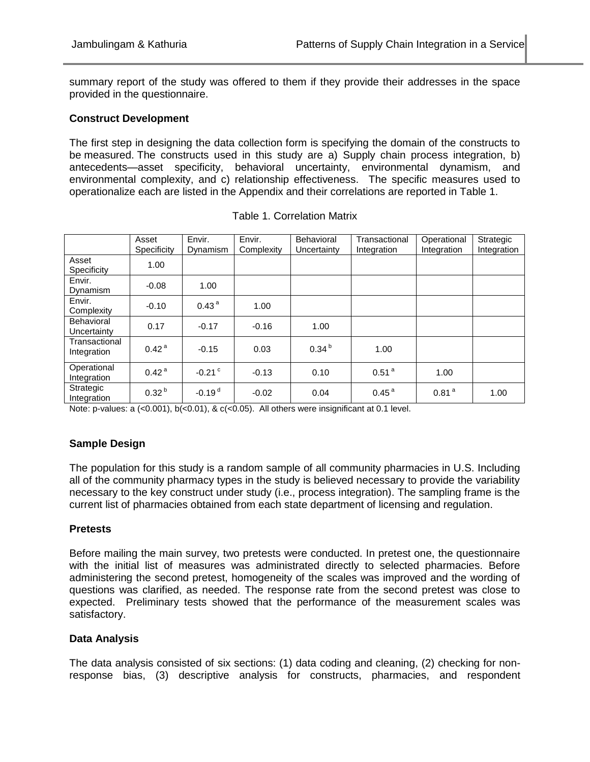summary report of the study was offered to them if they provide their addresses in the space provided in the questionnaire.

## **Construct Development**

The first step in designing the data collection form is specifying the domain of the constructs to be measured. The constructs used in this study are a) Supply chain process integration, b) antecedents—asset specificity, behavioral uncertainty, environmental dynamism, and environmental complexity, and c) relationship effectiveness. The specific measures used to operationalize each are listed in the Appendix and their correlations are reported in Table 1.

|                              | Asset             | Envir.               | Envir.     | <b>Behavioral</b> | Transactional     | Operational       | Strategic   |
|------------------------------|-------------------|----------------------|------------|-------------------|-------------------|-------------------|-------------|
|                              | Specificity       | Dynamism             | Complexity | Uncertainty       | Integration       | Integration       | Integration |
| Asset<br>Specificity         | 1.00              |                      |            |                   |                   |                   |             |
| Envir.<br>Dynamism           | $-0.08$           | 1.00                 |            |                   |                   |                   |             |
| Envir.<br>Complexity         | $-0.10$           | 0.43 <sup>a</sup>    | 1.00       |                   |                   |                   |             |
| Behavioral<br>Uncertainty    | 0.17              | $-0.17$              | $-0.16$    | 1.00              |                   |                   |             |
| Transactional<br>Integration | 0.42 <sup>a</sup> | $-0.15$              | 0.03       | 0.34 <sup>b</sup> | 1.00              |                   |             |
| Operational<br>Integration   | 0.42 <sup>a</sup> | $-0.21$ <sup>c</sup> | $-0.13$    | 0.10              | 0.51 <sup>a</sup> | 1.00              |             |
| Strategic<br>Integration     | 0.32 <sup>b</sup> | $-0.19d$             | $-0.02$    | 0.04              | 0.45 <sup>a</sup> | 0.81 <sup>a</sup> | 1.00        |

Table 1. Correlation Matrix

Note: p-values: a (<0.001), b(<0.01), & c(<0.05). All others were insignificant at 0.1 level.

# **Sample Design**

The population for this study is a random sample of all community pharmacies in U.S. Including all of the community pharmacy types in the study is believed necessary to provide the variability necessary to the key construct under study (i.e., process integration). The sampling frame is the current list of pharmacies obtained from each state department of licensing and regulation.

## **Pretests**

Before mailing the main survey, two pretests were conducted. In pretest one, the questionnaire with the initial list of measures was administrated directly to selected pharmacies. Before administering the second pretest, homogeneity of the scales was improved and the wording of questions was clarified, as needed. The response rate from the second pretest was close to expected. Preliminary tests showed that the performance of the measurement scales was satisfactory.

# **Data Analysis**

The data analysis consisted of six sections: (1) data coding and cleaning, (2) checking for nonresponse bias, (3) descriptive analysis for constructs, pharmacies, and respondent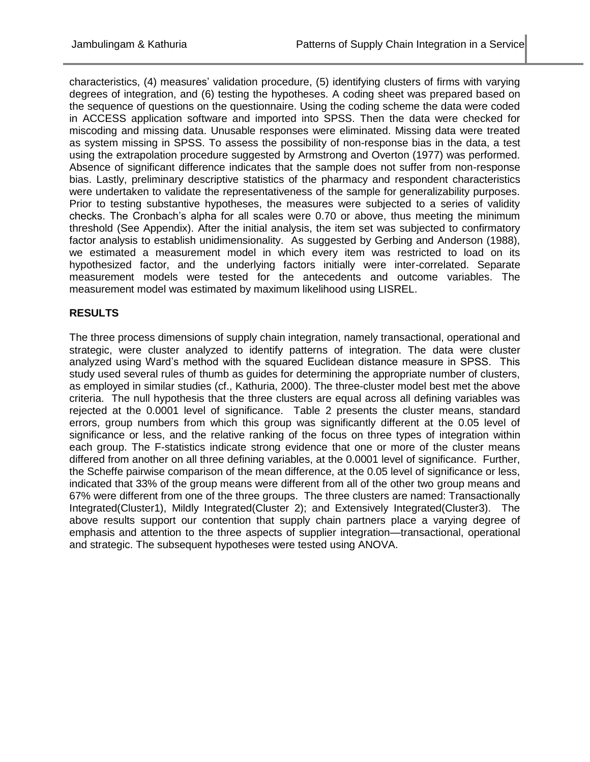characteristics, (4) measures' validation procedure, (5) identifying clusters of firms with varying degrees of integration, and (6) testing the hypotheses. A coding sheet was prepared based on the sequence of questions on the questionnaire. Using the coding scheme the data were coded in ACCESS application software and imported into SPSS. Then the data were checked for miscoding and missing data. Unusable responses were eliminated. Missing data were treated as system missing in SPSS. To assess the possibility of non-response bias in the data, a test using the extrapolation procedure suggested by Armstrong and Overton (1977) was performed. Absence of significant difference indicates that the sample does not suffer from non-response bias. Lastly, preliminary descriptive statistics of the pharmacy and respondent characteristics were undertaken to validate the representativeness of the sample for generalizability purposes. Prior to testing substantive hypotheses, the measures were subjected to a series of validity checks. The Cronbach's alpha for all scales were 0.70 or above, thus meeting the minimum threshold (See Appendix). After the initial analysis, the item set was subjected to confirmatory factor analysis to establish unidimensionality. As suggested by Gerbing and Anderson (1988), we estimated a measurement model in which every item was restricted to load on its hypothesized factor, and the underlying factors initially were inter-correlated. Separate measurement models were tested for the antecedents and outcome variables. The measurement model was estimated by maximum likelihood using LISREL.

# **RESULTS**

The three process dimensions of supply chain integration, namely transactional, operational and strategic, were cluster analyzed to identify patterns of integration. The data were cluster analyzed using Ward's method with the squared Euclidean distance measure in SPSS. This study used several rules of thumb as guides for determining the appropriate number of clusters, as employed in similar studies (cf., Kathuria, 2000). The three-cluster model best met the above criteria. The null hypothesis that the three clusters are equal across all defining variables was rejected at the 0.0001 level of significance. Table 2 presents the cluster means, standard errors, group numbers from which this group was significantly different at the 0.05 level of significance or less, and the relative ranking of the focus on three types of integration within each group. The F-statistics indicate strong evidence that one or more of the cluster means differed from another on all three defining variables, at the 0.0001 level of significance. Further, the Scheffe pairwise comparison of the mean difference, at the 0.05 level of significance or less, indicated that 33% of the group means were different from all of the other two group means and 67% were different from one of the three groups. The three clusters are named: Transactionally Integrated(Cluster1), Mildly Integrated(Cluster 2); and Extensively Integrated(Cluster3). The above results support our contention that supply chain partners place a varying degree of emphasis and attention to the three aspects of supplier integration—transactional, operational and strategic. The subsequent hypotheses were tested using ANOVA.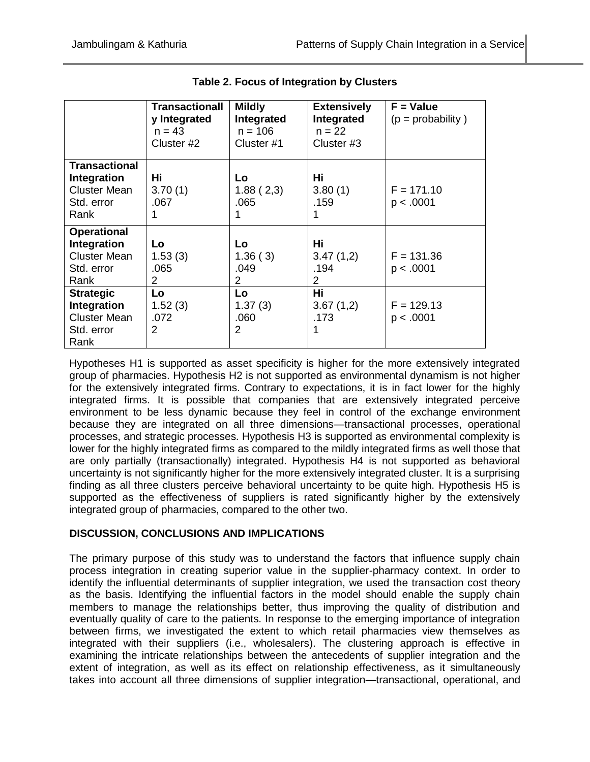|                                                                                  | <b>Transactionall</b><br>y Integrated<br>$n = 43$<br>Cluster #2 | <b>Mildly</b><br>Integrated<br>$n = 106$<br>Cluster #1 | <b>Extensively</b><br>Integrated<br>$n = 22$<br>Cluster #3 | $F = Value$<br>$(p = probability)$ |
|----------------------------------------------------------------------------------|-----------------------------------------------------------------|--------------------------------------------------------|------------------------------------------------------------|------------------------------------|
| <b>Transactional</b><br>Integration<br><b>Cluster Mean</b><br>Std. error<br>Rank | Hi<br>3.70(1)<br>.067<br>1                                      | Lo.<br>1.88(2,3)<br>.065                               | Hi<br>3.80(1)<br>.159<br>1                                 | $F = 171.10$<br>p < .0001          |
| <b>Operational</b><br>Integration<br><b>Cluster Mean</b><br>Std. error<br>Rank   | Lo<br>1.53(3)<br>.065<br>$\overline{2}$                         | Lo.<br>1.36(3)<br>.049<br>$\overline{2}$               | Hi<br>3.47(1,2)<br>.194<br>$\overline{2}$                  | $F = 131.36$<br>p < .0001          |
| <b>Strategic</b><br>Integration<br><b>Cluster Mean</b><br>Std. error<br>Rank     | Lo<br>1.52(3)<br>.072<br>2                                      | Lo<br>1.37(3)<br>.060<br>$\mathcal{P}$                 | <b>Hi</b><br>3.67(1,2)<br>.173<br>1                        | $F = 129.13$<br>p < .0001          |

|  |  | Table 2. Focus of Integration by Clusters |  |  |
|--|--|-------------------------------------------|--|--|
|--|--|-------------------------------------------|--|--|

Hypotheses H1 is supported as asset specificity is higher for the more extensively integrated group of pharmacies. Hypothesis H2 is not supported as environmental dynamism is not higher for the extensively integrated firms. Contrary to expectations, it is in fact lower for the highly integrated firms. It is possible that companies that are extensively integrated perceive environment to be less dynamic because they feel in control of the exchange environment because they are integrated on all three dimensions—transactional processes, operational processes, and strategic processes. Hypothesis H3 is supported as environmental complexity is lower for the highly integrated firms as compared to the mildly integrated firms as well those that are only partially (transactionally) integrated. Hypothesis H4 is not supported as behavioral uncertainty is not significantly higher for the more extensively integrated cluster. It is a surprising finding as all three clusters perceive behavioral uncertainty to be quite high. Hypothesis H5 is supported as the effectiveness of suppliers is rated significantly higher by the extensively integrated group of pharmacies, compared to the other two.

# **DISCUSSION, CONCLUSIONS AND IMPLICATIONS**

The primary purpose of this study was to understand the factors that influence supply chain process integration in creating superior value in the supplier-pharmacy context. In order to identify the influential determinants of supplier integration, we used the transaction cost theory as the basis. Identifying the influential factors in the model should enable the supply chain members to manage the relationships better, thus improving the quality of distribution and eventually quality of care to the patients. In response to the emerging importance of integration between firms, we investigated the extent to which retail pharmacies view themselves as integrated with their suppliers (i.e., wholesalers). The clustering approach is effective in examining the intricate relationships between the antecedents of supplier integration and the extent of integration, as well as its effect on relationship effectiveness, as it simultaneously takes into account all three dimensions of supplier integration—transactional, operational, and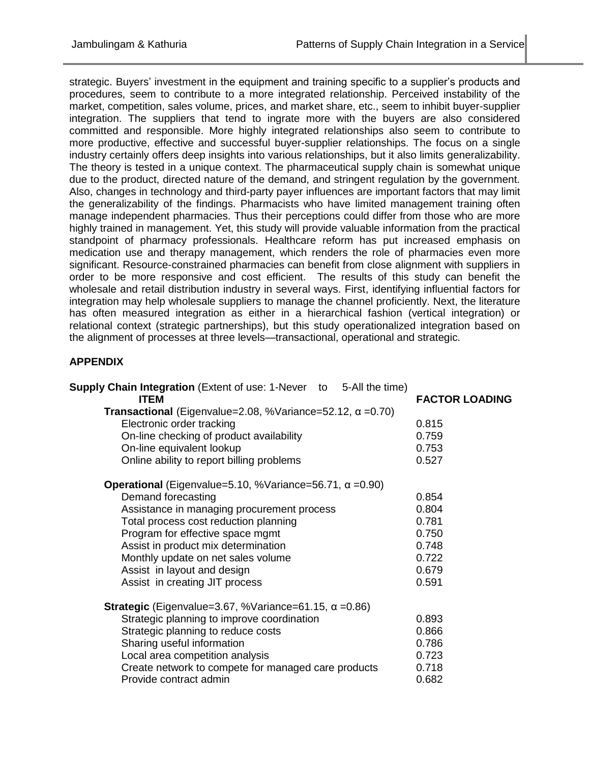strategic. Buyers' investment in the equipment and training specific to a supplier's products and procedures, seem to contribute to a more integrated relationship. Perceived instability of the market, competition, sales volume, prices, and market share, etc., seem to inhibit buyer-supplier integration. The suppliers that tend to ingrate more with the buyers are also considered committed and responsible. More highly integrated relationships also seem to contribute to more productive, effective and successful buyer-supplier relationships. The focus on a single industry certainly offers deep insights into various relationships, but it also limits generalizability. The theory is tested in a unique context. The pharmaceutical supply chain is somewhat unique due to the product, directed nature of the demand, and stringent regulation by the government. Also, changes in technology and third-party payer influences are important factors that may limit the generalizability of the findings. Pharmacists who have limited management training often manage independent pharmacies. Thus their perceptions could differ from those who are more highly trained in management. Yet, this study will provide valuable information from the practical standpoint of pharmacy professionals. Healthcare reform has put increased emphasis on medication use and therapy management, which renders the role of pharmacies even more significant. Resource-constrained pharmacies can benefit from close alignment with suppliers in order to be more responsive and cost efficient. The results of this study can benefit the wholesale and retail distribution industry in several ways. First, identifying influential factors for integration may help wholesale suppliers to manage the channel proficiently. Next, the literature has often measured integration as either in a hierarchical fashion (vertical integration) or relational context (strategic partnerships), but this study operationalized integration based on the alignment of processes at three levels—transactional, operational and strategic.

# **APPENDIX**

| <b>Supply Chain Integration</b> (Extent of use: 1-Never to 5-All the time)<br><b>ITEM</b> | <b>FACTOR LOADING</b> |
|-------------------------------------------------------------------------------------------|-----------------------|
| <b>Transactional</b> (Eigenvalue=2.08, %Variance=52.12, $\alpha$ =0.70)                   |                       |
| Electronic order tracking                                                                 | 0.815                 |
| On-line checking of product availability                                                  | 0.759                 |
| On-line equivalent lookup                                                                 | 0.753                 |
| Online ability to report billing problems                                                 | 0.527                 |
| <b>Operational</b> (Eigenvalue=5.10, %Variance=56.71, $\alpha$ =0.90)                     |                       |
| Demand forecasting                                                                        | 0.854                 |
| Assistance in managing procurement process                                                | 0.804                 |
| Total process cost reduction planning                                                     | 0.781                 |
| Program for effective space mgmt                                                          | 0.750                 |
| Assist in product mix determination                                                       | 0.748                 |
| Monthly update on net sales volume                                                        | 0.722                 |
| Assist in layout and design                                                               | 0.679                 |
| Assist in creating JIT process                                                            | 0.591                 |
| <b>Strategic</b> (Eigenvalue=3.67, %Variance=61.15, $\alpha$ =0.86)                       |                       |
| Strategic planning to improve coordination                                                | 0.893                 |
| Strategic planning to reduce costs                                                        | 0.866                 |
| Sharing useful information                                                                | 0.786                 |
| Local area competition analysis                                                           | 0.723                 |
| Create network to compete for managed care products                                       | 0.718                 |
| Provide contract admin                                                                    | 0.682                 |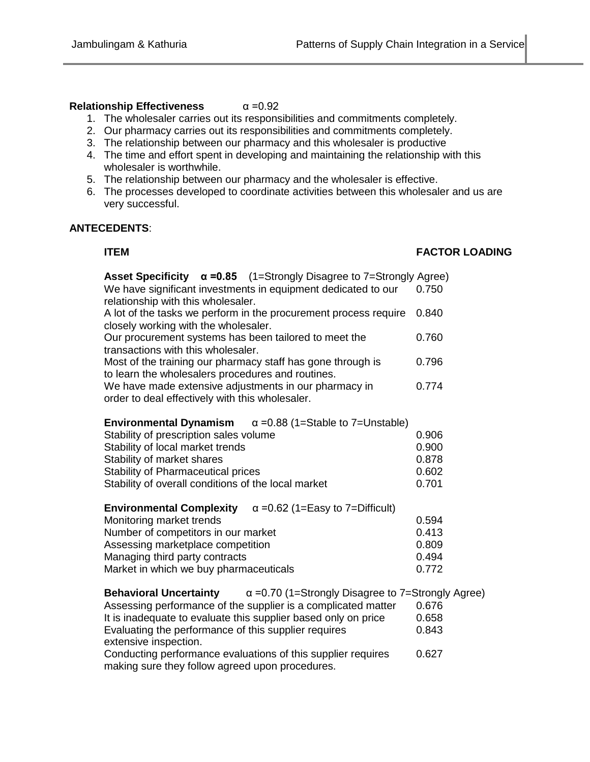# **Relationship Effectiveness** α =0.92

- 1. The wholesaler carries out its responsibilities and commitments completely.
- 2. Our pharmacy carries out its responsibilities and commitments completely.
- 3. The relationship between our pharmacy and this wholesaler is productive
- 4. The time and effort spent in developing and maintaining the relationship with this wholesaler is worthwhile.
- 5. The relationship between our pharmacy and the wholesaler is effective.
- 6. The processes developed to coordinate activities between this wholesaler and us are very successful.

# **ANTECEDENTS**:

## **ITEM FACTOR LOADING**

| Asset Specificity $\alpha = 0.85$ (1=Strongly Disagree to 7=Strongly Agree)                                      |       |
|------------------------------------------------------------------------------------------------------------------|-------|
| We have significant investments in equipment dedicated to our                                                    | 0.750 |
| relationship with this wholesaler.                                                                               |       |
| A lot of the tasks we perform in the procurement process require<br>closely working with the wholesaler.         | 0.840 |
|                                                                                                                  |       |
| Our procurement systems has been tailored to meet the<br>transactions with this wholesaler.                      | 0.760 |
| Most of the training our pharmacy staff has gone through is<br>to learn the wholesalers procedures and routines. | 0.796 |
| We have made extensive adjustments in our pharmacy in<br>order to deal effectively with this wholesaler.         | 0.774 |

| <b>Environmental Dynamism</b> $\alpha$ =0.88 (1=Stable to 7=Unstable) |       |
|-----------------------------------------------------------------------|-------|
| Stability of prescription sales volume                                | 0.906 |
| Stability of local market trends                                      | 0.900 |
| Stability of market shares                                            | 0.878 |
| <b>Stability of Pharmaceutical prices</b>                             | 0.602 |
| Stability of overall conditions of the local market                   | 0.701 |

| $\alpha$ =0.62 (1=Easy to 7=Difficult)<br><b>Environmental Complexity</b> |       |
|---------------------------------------------------------------------------|-------|
| Monitoring market trends                                                  | 0.594 |
| Number of competitors in our market                                       | 0.413 |
| Assessing marketplace competition                                         | 0.809 |
| Managing third party contracts                                            | 0.494 |
| Market in which we buy pharmaceuticals                                    | 0.772 |

| <b>Behavioral Uncertainty</b>                        | $\alpha$ =0.70 (1=Strongly Disagree to 7=Strongly Agree)       |       |
|------------------------------------------------------|----------------------------------------------------------------|-------|
|                                                      | Assessing performance of the supplier is a complicated matter  | 0.676 |
|                                                      | It is inadequate to evaluate this supplier based only on price | 0.658 |
| Evaluating the performance of this supplier requires |                                                                | 0.843 |
| extensive inspection.                                |                                                                |       |
|                                                      | Conducting performance evaluations of this supplier requires   | 0.627 |
| making sure they follow agreed upon procedures.      |                                                                |       |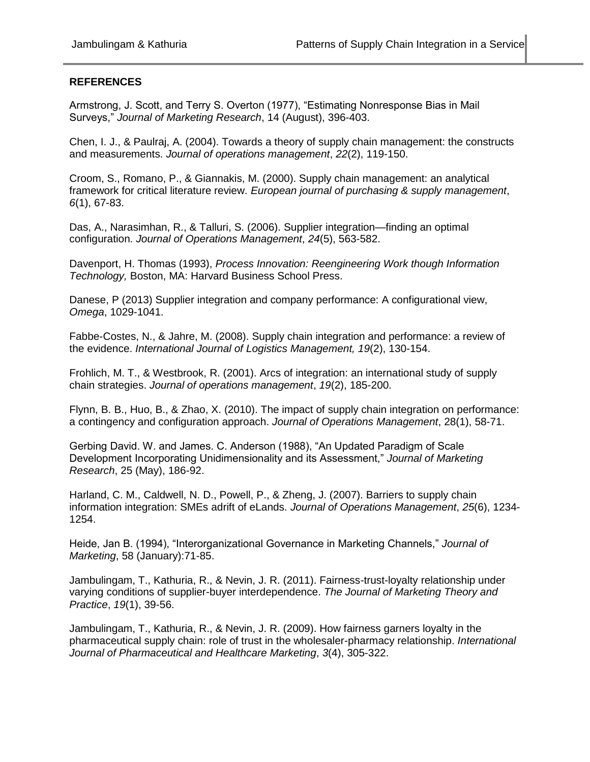## **REFERENCES**

Armstrong, J. Scott, and Terry S. Overton (1977), "Estimating Nonresponse Bias in Mail Surveys," *Journal of Marketing Research*, 14 (August), 396-403.

Chen, I. J., & Paulraj, A. (2004). Towards a theory of supply chain management: the constructs and measurements. *Journal of operations management*, *22*(2), 119-150.

Croom, S., Romano, P., & Giannakis, M. (2000). Supply chain management: an analytical framework for critical literature review. *European journal of purchasing & supply management*, *6*(1), 67-83.

Das, A., Narasimhan, R., & Talluri, S. (2006). Supplier integration—finding an optimal configuration. *Journal of Operations Management*, *24*(5), 563-582.

Davenport, H. Thomas (1993), *Process Innovation: Reengineering Work though Information Technology,* Boston, MA: Harvard Business School Press.

Danese, P (2013) Supplier integration and company performance: A configurational view, *Omega*, 1029-1041.

Fabbe-Costes, N., & Jahre, M. (2008). Supply chain integration and performance: a review of the evidence. *International Journal of Logistics Management, 19*(2), 130-154.

Frohlich, M. T., & Westbrook, R. (2001). Arcs of integration: an international study of supply chain strategies. *Journal of operations management*, *19*(2), 185-200.

Flynn, B. B., Huo, B., & Zhao, X. (2010). The impact of supply chain integration on performance: a contingency and configuration approach. *Journal of Operations Management*, 28(1), 58-71.

Gerbing David. W. and James. C. Anderson (1988), "An Updated Paradigm of Scale Development Incorporating Unidimensionality and its Assessment," *Journal of Marketing Research*, 25 (May), 186-92.

Harland, C. M., Caldwell, N. D., Powell, P., & Zheng, J. (2007). Barriers to supply chain information integration: SMEs adrift of eLands. *Journal of Operations Management*, *25*(6), 1234- 1254.

Heide, Jan B. (1994), "Interorganizational Governance in Marketing Channels," *Journal of Marketing*, 58 (January):71-85.

Jambulingam, T., Kathuria, R., & Nevin, J. R. (2011). Fairness-trust-loyalty relationship under varying conditions of supplier-buyer interdependence. *The Journal of Marketing Theory and Practice*, *19*(1), 39-56.

Jambulingam, T., Kathuria, R., & Nevin, J. R. (2009). How fairness garners loyalty in the pharmaceutical supply chain: role of trust in the wholesaler-pharmacy relationship. *International Journal of Pharmaceutical and Healthcare Marketing*, *3*(4), 305-322.